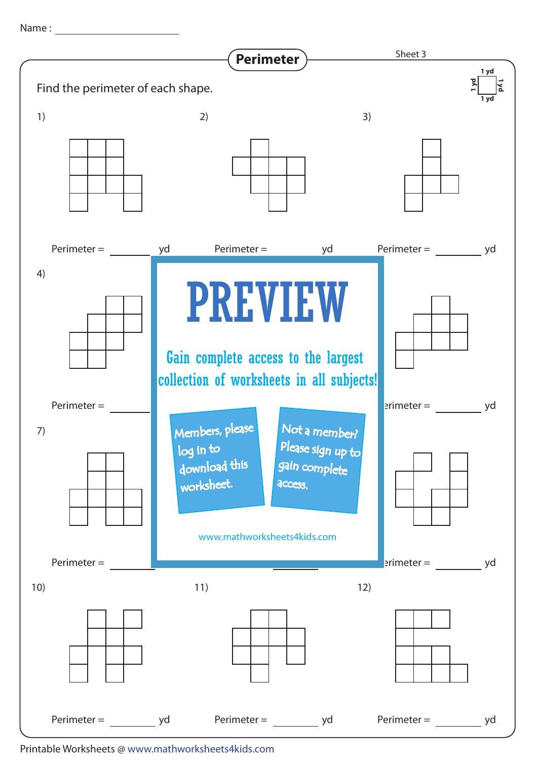Name : with the state of  $\sim$ 



Printable Worksheets @ www.mathworksheets4kids.com